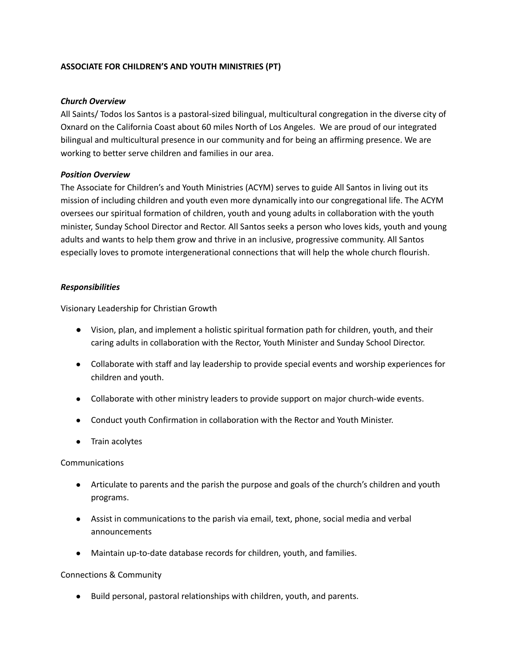# **ASSOCIATE FOR CHILDREN'S AND YOUTH MINISTRIES (PT)**

### *Church Overview*

All Saints/ Todos los Santos is a pastoral-sized bilingual, multicultural congregation in the diverse city of Oxnard on the California Coast about 60 miles North of Los Angeles. We are proud of our integrated bilingual and multicultural presence in our community and for being an affirming presence. We are working to better serve children and families in our area.

### *Position Overview*

The Associate for Children's and Youth Ministries (ACYM) serves to guide All Santos in living out its mission of including children and youth even more dynamically into our congregational life. The ACYM oversees our spiritual formation of children, youth and young adults in collaboration with the youth minister, Sunday School Director and Rector. All Santos seeks a person who loves kids, youth and young adults and wants to help them grow and thrive in an inclusive, progressive community. All Santos especially loves to promote intergenerational connections that will help the whole church flourish.

### *Responsibilities*

Visionary Leadership for Christian Growth

- Vision, plan, and implement a holistic spiritual formation path for children, youth, and their caring adults in collaboration with the Rector, Youth Minister and Sunday School Director.
- Collaborate with staff and lay leadership to provide special events and worship experiences for children and youth.
- Collaborate with other ministry leaders to provide support on major church-wide events.
- Conduct youth Confirmation in collaboration with the Rector and Youth Minister.
- Train acolytes

### **Communications**

- Articulate to parents and the parish the purpose and goals of the church's children and youth programs.
- Assist in communications to the parish via email, text, phone, social media and verbal announcements
- Maintain up-to-date database records for children, youth, and families.

#### Connections & Community

● Build personal, pastoral relationships with children, youth, and parents.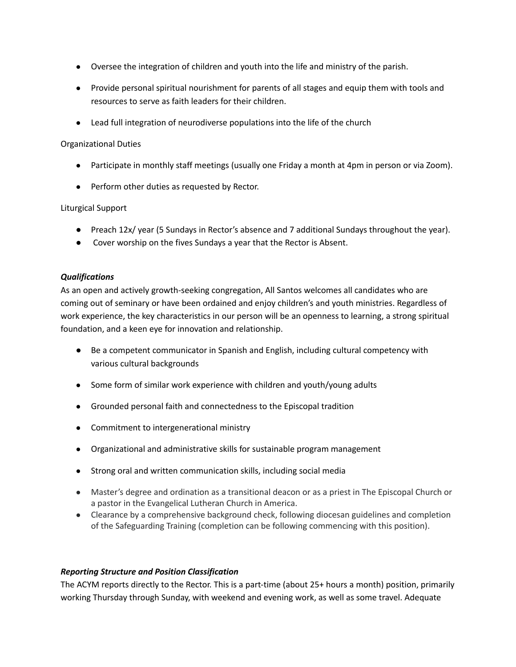- Oversee the integration of children and youth into the life and ministry of the parish.
- Provide personal spiritual nourishment for parents of all stages and equip them with tools and resources to serve as faith leaders for their children.
- Lead full integration of neurodiverse populations into the life of the church

# Organizational Duties

- Participate in monthly staff meetings (usually one Friday a month at 4pm in person or via Zoom).
- Perform other duties as requested by Rector.

## Liturgical Support

- Preach 12x/ year (5 Sundays in Rector's absence and 7 additional Sundays throughout the year).
- Cover worship on the fives Sundays a year that the Rector is Absent.

## *Qualifications*

As an open and actively growth-seeking congregation, All Santos welcomes all candidates who are coming out of seminary or have been ordained and enjoy children's and youth ministries. Regardless of work experience, the key characteristics in our person will be an openness to learning, a strong spiritual foundation, and a keen eye for innovation and relationship.

- Be a competent communicator in Spanish and English, including cultural competency with various cultural backgrounds
- Some form of similar work experience with children and youth/young adults
- Grounded personal faith and connectedness to the Episcopal tradition
- Commitment to intergenerational ministry
- Organizational and administrative skills for sustainable program management
- Strong oral and written communication skills, including social media
- Master's degree and ordination as a transitional deacon or as a priest in The Episcopal Church or a pastor in the Evangelical Lutheran Church in America.
- Clearance by a comprehensive background check, following diocesan guidelines and completion of the Safeguarding Training (completion can be following commencing with this position).

# *Reporting Structure and Position Classification*

The ACYM reports directly to the Rector. This is a part-time (about 25+ hours a month) position, primarily working Thursday through Sunday, with weekend and evening work, as well as some travel. Adequate